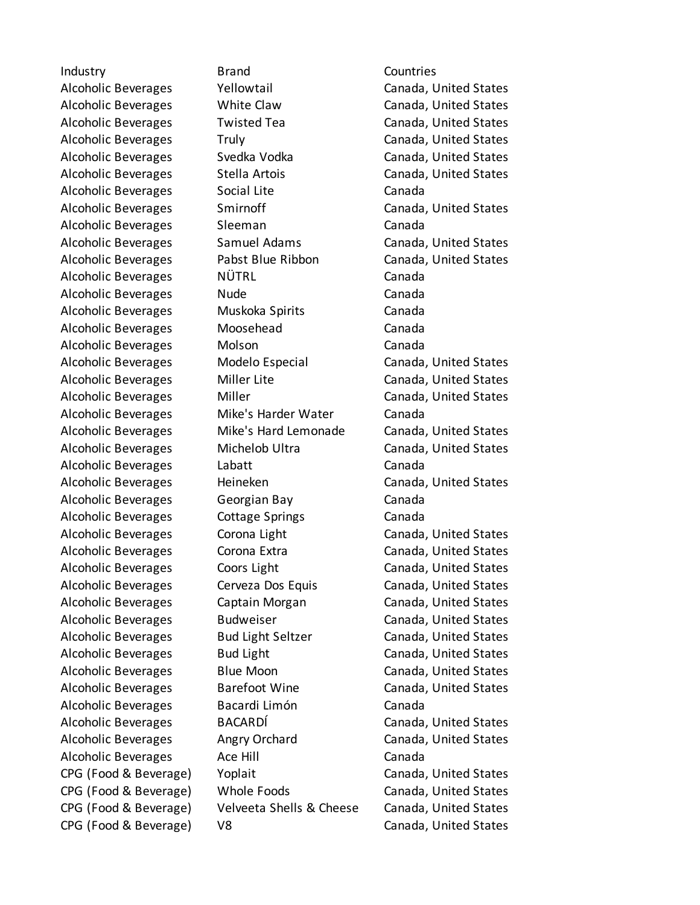CPG (Food & Beverage) V8 Canada, United States

Industry Brand Countries Alcoholic Beverages Social Lite Canada Alcoholic Beverages Sleeman Canada Alcoholic Beverages NÜTRL Canada Alcoholic Beverages Mude Number Canada Alcoholic Beverages Muskoka Spirits Canada Alcoholic Beverages Moosehead Canada Alcoholic Beverages Molson Canada Alcoholic Beverages Mike's Harder Water Canada Alcoholic Beverages Labatt Canada Alcoholic Beverages Georgian Bay Canada Alcoholic Beverages Cottage Springs Canada Alcoholic Beverages Bacardi Limón Canada Alcoholic Beverages Ace Hill **Ace Hill** Canada

Alcoholic Beverages Tellowtail The Canada, United States Alcoholic Beverages White Claw Canada, United States Alcoholic Beverages Twisted Tea Canada, United States Alcoholic Beverages Truly Canada, United States Alcoholic Beverages Svedka Vodka Canada, United States Alcoholic Beverages Stella Artois Canada, United States Alcoholic Beverages Smirnoff Canada, United States Alcoholic Beverages Samuel Adams Canada, United States Alcoholic Beverages Pabst Blue Ribbon Canada, United States Alcoholic Beverages Modelo Especial Canada, United States Alcoholic Beverages Miller Lite Canada, United States Alcoholic Beverages Miller Canada, United States Alcoholic Beverages Mike's Hard Lemonade Canada, United States Alcoholic Beverages Michelob Ultra Canada, United States Alcoholic Beverages Heineken Canada, United States Alcoholic Beverages Corona Light Canada, United States Alcoholic Beverages Corona Extra Canada, United States Alcoholic Beverages Coors Light Canada, United States Alcoholic Beverages Cerveza Dos Equis Canada, United States Alcoholic Beverages Captain Morgan Canada, United States Alcoholic Beverages Budweiser Canada, United States Alcoholic Beverages Bud Light Seltzer Canada, United States Alcoholic Beverages Bud Light Canada, United States Alcoholic Beverages Blue Moon Canada, United States Alcoholic Beverages Barefoot Wine Canada, United States Alcoholic Beverages BACARDÍ Canada, United States Alcoholic Beverages Angry Orchard Canada, United States CPG (Food & Beverage) Yoplait Canada, United States CPG (Food & Beverage) Whole Foods Canada, United States CPG (Food & Beverage) Velveeta Shells & Cheese Canada, United States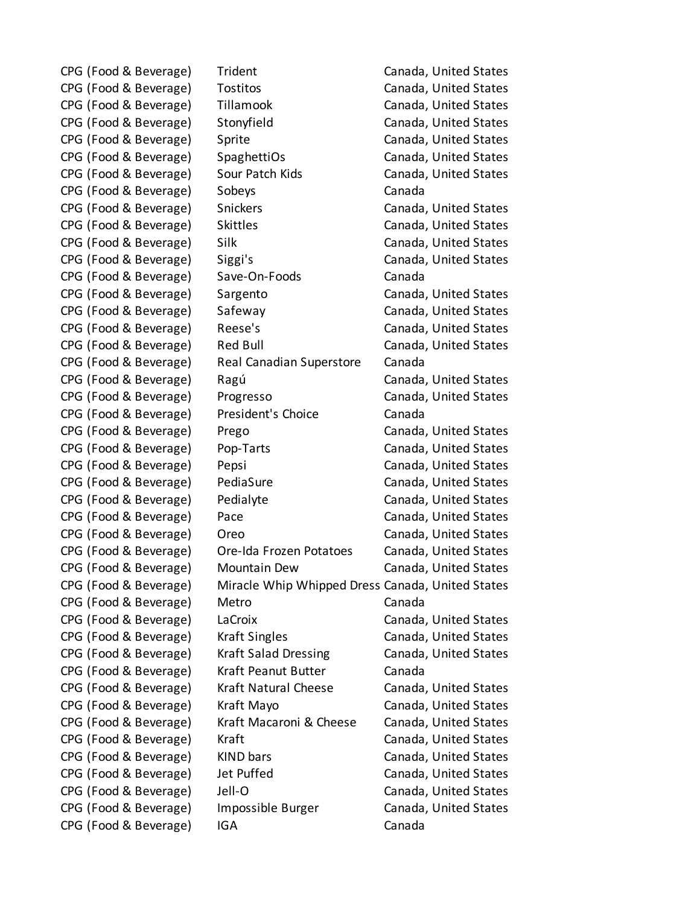CPG (Food & Beverage) Trident Canada, United States CPG (Food & Beverage) Tostitos Canada, United States CPG (Food & Beverage) Tillamook Canada, United States CPG (Food & Beverage) Stonyfield Canada, United States CPG (Food & Beverage) Sprite Canada, United States CPG (Food & Beverage) SpaghettiOs Canada, United States CPG (Food & Beverage) Sour Patch Kids Canada, United States CPG (Food & Beverage) Sobeys Canada CPG (Food & Beverage) Snickers Canada, United States CPG (Food & Beverage) Skittles Canada, United States CPG (Food & Beverage) Silk Canada, United States CPG (Food & Beverage) Siggi's Canada, United States CPG (Food & Beverage) Save-On-Foods Canada CPG (Food & Beverage) Sargento Canada, United States CPG (Food & Beverage) Safeway Canada, United States CPG (Food & Beverage) Reese's Canada, United States CPG (Food & Beverage) Red Bull Canada, United States CPG (Food & Beverage) Real Canadian Superstore Canada CPG (Food & Beverage) Ragú Canada, United States CPG (Food & Beverage) Progresso Canada, United States CPG (Food & Beverage) President's Choice Canada CPG (Food & Beverage) Prego Canada, United States CPG (Food & Beverage) Pop-Tarts Canada, United States CPG (Food & Beverage) Pepsi Canada, United States CPG (Food & Beverage) PediaSure Canada, United States CPG (Food & Beverage) Pedialyte Canada, United States CPG (Food & Beverage) Pace Canada, United States CPG (Food & Beverage) Oreo Canada, United States CPG (Food & Beverage) Ore-Ida Frozen Potatoes Canada, United States CPG (Food & Beverage) Mountain Dew Canada, United States CPG (Food & Beverage) Miracle Whip Whipped Dress Canada, United States CPG (Food & Beverage) Metro Canada CPG (Food & Beverage) LaCroix Canada, United States CPG (Food & Beverage) Kraft Singles Canada, United States CPG (Food & Beverage) Kraft Salad Dressing Canada, United States CPG (Food & Beverage) Kraft Peanut Butter Canada CPG (Food & Beverage) Kraft Natural Cheese Canada, United States CPG (Food & Beverage) Kraft Mayo Canada, United States CPG (Food & Beverage) Kraft Macaroni & Cheese Canada, United States CPG (Food & Beverage) Kraft Canada, United States CPG (Food & Beverage) KIND bars Canada, United States CPG (Food & Beverage) Jet Puffed Canada, United States CPG (Food & Beverage) Jell-O Canada, United States CPG (Food & Beverage) Impossible Burger Canada, United States CPG (Food & Beverage) IGA Canada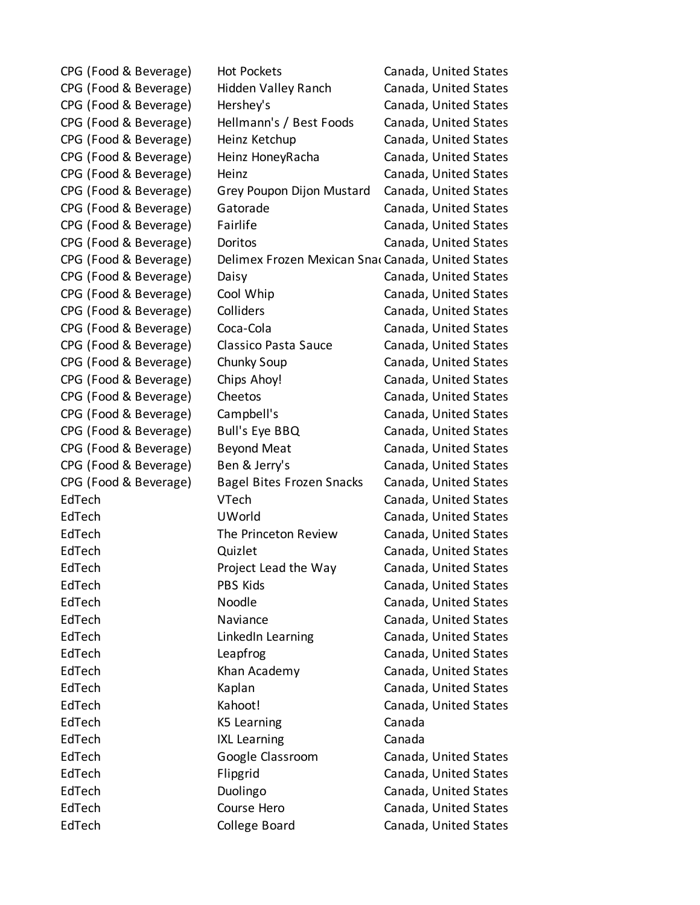| CPG (Food & Beverage) | <b>Hot Pockets</b>                               | Canada, United States |
|-----------------------|--------------------------------------------------|-----------------------|
| CPG (Food & Beverage) | Hidden Valley Ranch                              | Canada, United States |
| CPG (Food & Beverage) | Hershey's                                        | Canada, United States |
| CPG (Food & Beverage) | Hellmann's / Best Foods                          | Canada, United States |
| CPG (Food & Beverage) | Heinz Ketchup                                    | Canada, United States |
| CPG (Food & Beverage) | Heinz HoneyRacha                                 | Canada, United States |
| CPG (Food & Beverage) | Heinz                                            | Canada, United States |
| CPG (Food & Beverage) | Grey Poupon Dijon Mustard                        | Canada, United States |
| CPG (Food & Beverage) | Gatorade                                         | Canada, United States |
| CPG (Food & Beverage) | Fairlife                                         | Canada, United States |
| CPG (Food & Beverage) | Doritos                                          | Canada, United States |
| CPG (Food & Beverage) | Delimex Frozen Mexican Sna Canada, United States |                       |
| CPG (Food & Beverage) | Daisy                                            | Canada, United States |
| CPG (Food & Beverage) | Cool Whip                                        | Canada, United States |
| CPG (Food & Beverage) | Colliders                                        | Canada, United States |
| CPG (Food & Beverage) | Coca-Cola                                        | Canada, United States |
| CPG (Food & Beverage) | Classico Pasta Sauce                             | Canada, United States |
| CPG (Food & Beverage) | Chunky Soup                                      | Canada, United States |
| CPG (Food & Beverage) | Chips Ahoy!                                      | Canada, United States |
| CPG (Food & Beverage) | Cheetos                                          | Canada, United States |
| CPG (Food & Beverage) | Campbell's                                       | Canada, United States |
| CPG (Food & Beverage) | <b>Bull's Eye BBQ</b>                            | Canada, United States |
| CPG (Food & Beverage) | <b>Beyond Meat</b>                               | Canada, United States |
| CPG (Food & Beverage) | Ben & Jerry's                                    | Canada, United States |
| CPG (Food & Beverage) | <b>Bagel Bites Frozen Snacks</b>                 | Canada, United States |
| EdTech                | VTech                                            | Canada, United States |
| EdTech                | <b>UWorld</b>                                    | Canada, United States |
| EdTech                | The Princeton Review                             | Canada, United States |
| EdTech                | Quizlet                                          | Canada, United States |
| EdTech                | Project Lead the Way                             | Canada, United States |
| EdTech                | PBS Kids                                         | Canada, United States |
| EdTech                | Noodle                                           | Canada, United States |
| EdTech                | Naviance                                         | Canada, United States |
| EdTech                | LinkedIn Learning                                | Canada, United States |
| EdTech                | Leapfrog                                         | Canada, United States |
| EdTech                | Khan Academy                                     | Canada, United States |
| EdTech                | Kaplan                                           | Canada, United States |
| EdTech                | Kahoot!                                          | Canada, United States |
| EdTech                | K5 Learning                                      | Canada                |
| EdTech                | <b>IXL Learning</b>                              | Canada                |
| EdTech                | Google Classroom                                 | Canada, United States |
| EdTech                | Flipgrid                                         | Canada, United States |
| EdTech                | Duolingo                                         | Canada, United States |
| EdTech                | Course Hero                                      | Canada, United States |
| EdTech                | College Board                                    | Canada, United States |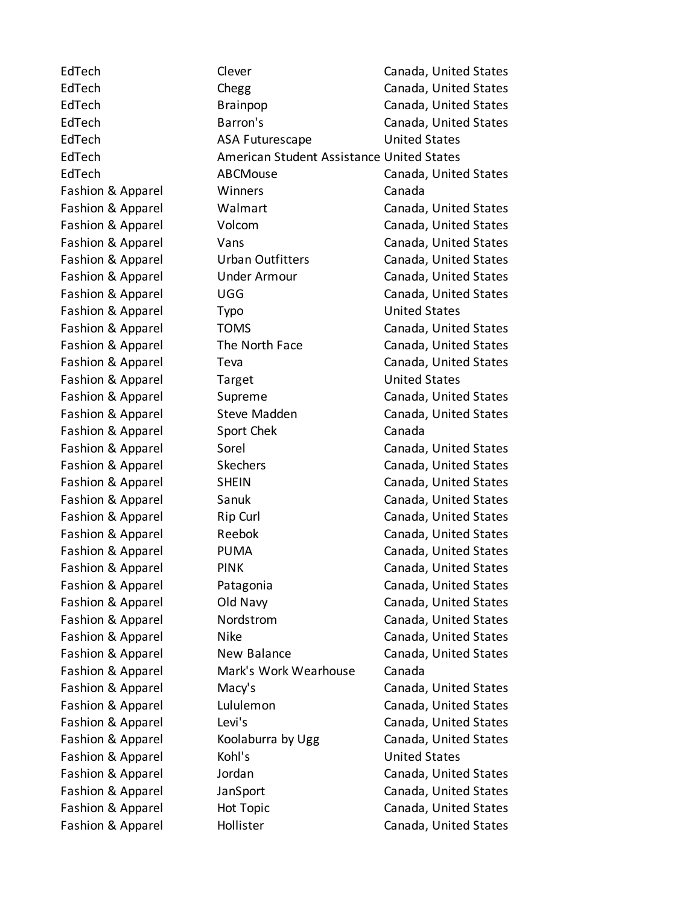EdTech Clever Clever Conada, United States EdTech Chegg Chegg Canada, United States EdTech Brainpop Canada, United States EdTech Barron's Canada, United States EdTech ASA Futurescape United States EdTech **American Student Assistance United States** EdTech ABCMouse Canada, United States Fashion & Apparel Winners Canada Fashion & Apparel Walmart Canada, United States Fashion & Apparel Volcom Canada, United States Fashion & Apparel Vans Vans Canada, United States Fashion & Apparel Urban Outfitters Canada, United States Fashion & Apparel Under Armour Canada, United States Fashion & Apparel **Canada**, UGG Canada, United States Fashion & Apparel Typo Typo United States Fashion & Apparel TOMS Canada, United States Fashion & Apparel The North Face Canada, United States Fashion & Apparel Teva Teva Canada, United States Fashion & Apparel Target Target United States Fashion & Apparel Supreme Canada, United States Fashion & Apparel Steve Madden Canada, United States Fashion & Apparel Sport Chek Canada Fashion & Apparel Sorel Canada, United States Fashion & Apparel Skechers Canada, United States Fashion & Apparel SHEIN Canada, United States Fashion & Apparel Sanuk Canada, United States Fashion & Apparel **Rip Curl Canada, United States** Fashion & Apparel Reebok Canada, United States Fashion & Apparel PUMA Canada, United States Fashion & Apparel PINK PINK Canada, United States Fashion & Apparel Patagonia Canada, United States Fashion & Apparel **Canada**, United States Fashion & Apparel Nordstrom Canada, United States Fashion & Apparel Nike Canada, United States Fashion & Apparel New Balance Canada, United States Fashion & Apparel Mark's Work Wearhouse Canada Fashion & Apparel Macy's Canada, United States Fashion & Apparel Lululemon Canada, United States Fashion & Apparel Levi's Canada, United States Fashion & Apparel **Koolaburra by Ugg Canada, United States** Fashion & Apparel Kohl's Communication Control Control United States Fashion & Apparel Jordan Canada, United States Fashion & Apparel JanSport Canada, United States Fashion & Apparel **Hot Topic** Canada, United States Fashion & Apparel **Hollister Hollister** Canada, United States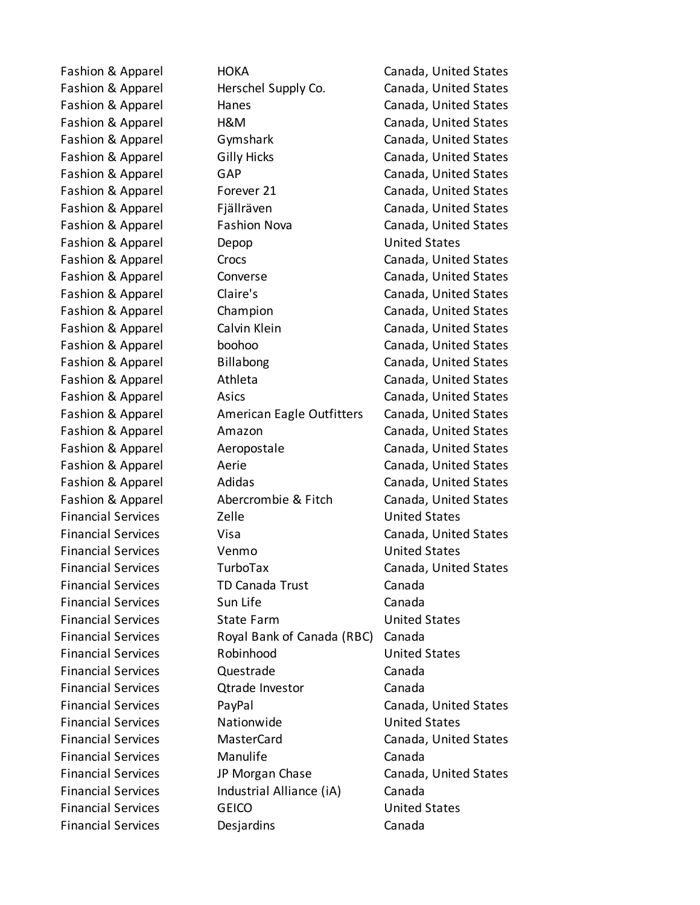Fashion & Apparel Herschel Supply Co. Canada, United States Fashion & Apparel **Hanes** Hanes Canada, United States Fashion & Apparel H&M Canada, United States Fashion & Apparel Gymshark Canada, United States Fashion & Apparel Gilly Hicks Canada, United States Fashion & Apparel GAP GAP Canada, United States Fashion & Apparel Forever 21 Forever 20 Canada, United States Fashion & Apparel Fiällräven Canada, United States Fashion & Apparel Fashion Nova Canada, United States Fashion & Apparel Depop Depop United States Fashion & Apparel Crocs Crocs Canada, United States Fashion & Apparel Converse Canada, United States Fashion & Apparel Claire's Canada, United States Fashion & Apparel Champion Canada, United States Fashion & Apparel Calvin Klein Canada, United States Fashion & Apparel boohoo Canada, United States Fashion & Apparel Billabong Canada, United States Fashion & Apparel Athleta Canada, United States Fashion & Apparel **Asics** Asics **Canada, United States** Fashion & Apparel **American Eagle Outfitters** Canada, United States Fashion & Apparel **Amazon** Amazon Canada, United States Fashion & Apparel **Aeropostale** Aeropostale Canada, United States Fashion & Apparel **Aerie** Aerie Canada, United States Fashion & Apparel Adidas Canada, United States Fashion & Apparel Abercrombie & Fitch Canada, United States Financial Services Zelle United States Financial Services Visa Canada, United States Financial Services Venmo United States Financial Services TurboTax Canada, United States Financial Services TD Canada Trust Canada Financial Services Sun Life Canada Financial Services State Farm United States Financial Services Royal Bank of Canada (RBC) Canada Financial Services Robinhood United States Financial Services Questrade Canada Financial Services Qtrade Investor Canada Financial Services PayPal Canada, United States Financial Services Nationwide United States Financial Services MasterCard Canada, United States Financial Services Manulife Canada Financial Services JP Morgan Chase Canada, United States Financial Services **Industrial Alliance (iA)** Canada Financial Services GEICO United States Financial Services Desjardins Canada

Fashion & Apparel HOKA Canada, United States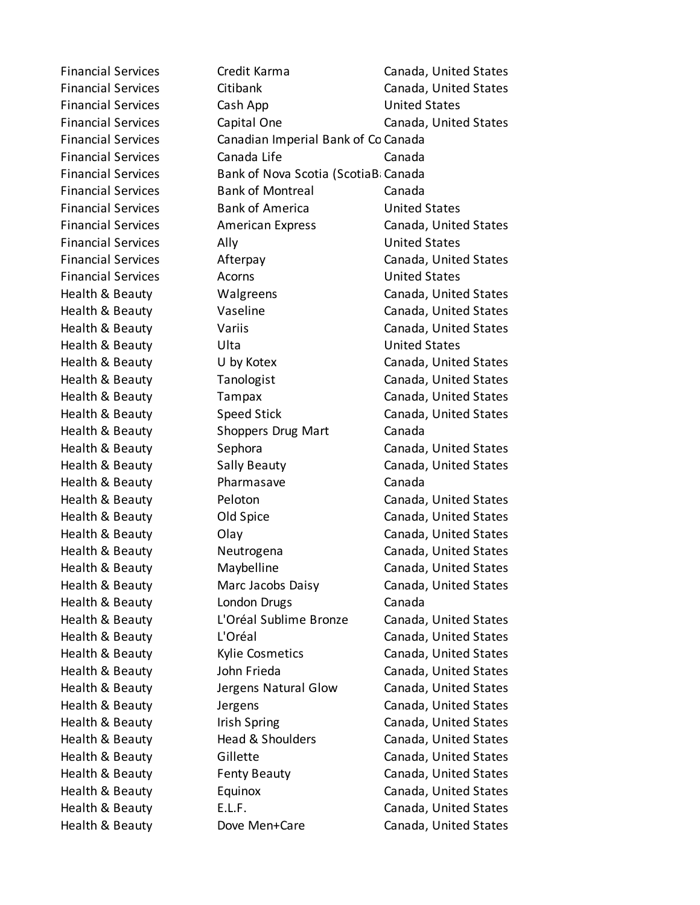Financial Services Credit Karma Canada, United States Financial Services Citibank Canada, United States Financial Services Cash App Cash United States Financial Services Capital One Canada, United States Financial Services Canadian Imperial Bank of Co Canada Financial Services Canada Life Canada Financial Services Bank of Nova Scotia (ScotiaBancial Services Financial Services Bank of Montreal Canada Financial Services Bank of America United States Financial Services American Express Canada, United States Financial Services Ally Ally Number 2011 Financial Services Afterpay Canada, United States Financial Services **Acorns** Acorns **United States** Health & Beauty **Canada**, United States Canada, United States Health & Beauty **Canada**, United States Canada, United States Health & Beauty Variis Canada, United States Health & Beauty **Ulta** United States Health & Beauty **Canada**, U by Kotex **Canada**, United States Health & Beauty Tanologist Canada, United States Health & Beauty **Tampax** Canada, United States Health & Beauty Speed Stick Canada, United States Health & Beauty **Shoppers Drug Mart** Canada Health & Beauty Sephora Canada, United States Health & Beauty **Sally Beauty** Sally Beauty Canada, United States Health & Beauty Pharmasave Canada Health & Beauty Peloton Canada, United States Health & Beauty Old Spice Canada, United States Health & Beauty Olay Canada, United States Health & Beauty **Neutrogena** Canada, United States Health & Beauty Maybelline Canada, United States Health & Beauty Marc Jacobs Daisy Canada, United States Health & Beauty **London Drugs** Canada Health & Beauty L'Oréal Sublime Bronze Canada, United States Health & Beauty L'Oréal Canada, United States Health & Beauty Kylie Cosmetics Canada, United States Health & Beauty John Frieda Canada, United States Health & Beauty Jergens Natural Glow Canada, United States Health & Beauty **Interpretent Canada**, United States Health & Beauty **Inity Canada**, United States Health & Beauty **Head & Shoulders** Canada, United States Health & Beauty **Gillette** Canada, United States Health & Beauty Fenty Beauty Canada, United States Health & Beauty Equinox Canada, United States Health & Beauty E.L.F. Canada, United States Health & Beauty **Dove Men+Care** Canada, United States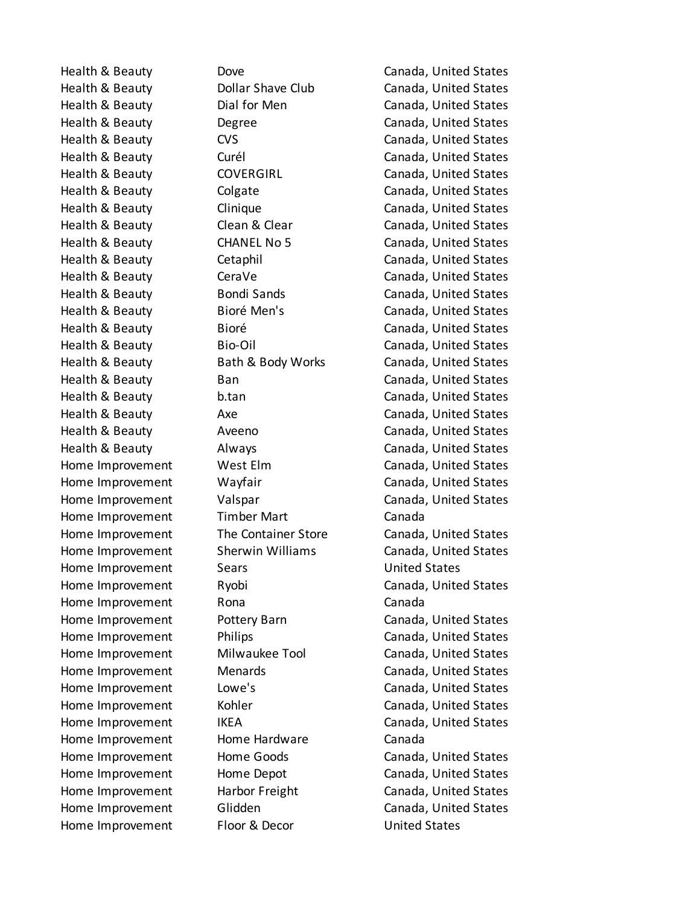Home Improvement Timber Mart Canada Home Improvement Sears Sears United States Home Improvement Rona Rona Canada Home Improvement Home Hardware Canada Home Improvement Floor & Decor United States

Health & Beauty Dove Canada, United States Health & Beauty Dollar Shave Club Canada, United States Health & Beauty **Dial for Men** Canada, United States Health & Beauty **Degree** Canada, United States Health & Beauty **CVS** COS Canada, United States Health & Beauty **Canada**, United States Health & Beauty **COVERGIRL** Canada, United States Health & Beauty Colgate Canada, United States Health & Beauty **Clinique** Canada, United States Health & Beauty Clean & Clear Canada, United States Health & Beauty CHANEL No 5 Canada, United States Health & Beauty Cetaphil Canada, United States Health & Beauty **CeraVe Canada**, United States Health & Beauty **Bondi Sands** Canada, United States Health & Beauty **Biore Men's** Canada, United States Health & Beauty Bioré Canada, United States Health & Beauty Bio-Oil Canada, United States Health & Beauty Bath & Body Works Canada, United States Health & Beauty **Ban** Ban **Canada**, United States Health & Beauty b.tan Canada, United States Health & Beauty Axe Canada, United States Health & Beauty **Aveeno** Aveeno **Canada, United States** Health & Beauty Always Canada, United States Home Improvement West Elm Canada, United States Home Improvement Wayfair Canada, United States Home Improvement Valspar Canada, United States Home Improvement The Container Store Canada, United States Home Improvement Sherwin Williams Canada, United States Home Improvement Ryobi Canada, United States Home Improvement Pottery Barn Canada, United States Home Improvement Philips Canada, United States Home Improvement Milwaukee Tool Canada, United States Home Improvement Menards Canada, United States Home Improvement Lowe's Canada, United States Home Improvement Kohler Canada, United States Home Improvement IKEA IKEA Canada, United States Home Improvement Home Goods Canada, United States Home Improvement Home Depot Canada, United States Home Improvement Harbor Freight Canada, United States Home Improvement Glidden Canada, United States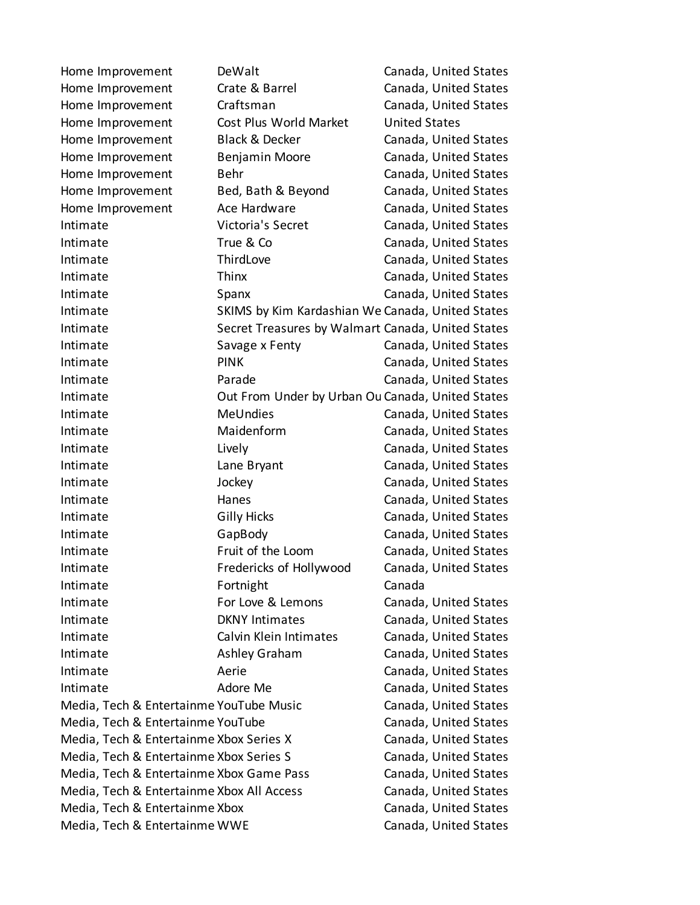| Home Improvement                          | DeWalt                                            | Canada, United States |  |
|-------------------------------------------|---------------------------------------------------|-----------------------|--|
| Home Improvement                          | Crate & Barrel                                    | Canada, United States |  |
| Home Improvement                          | Craftsman                                         | Canada, United States |  |
| Home Improvement                          | Cost Plus World Market                            | <b>United States</b>  |  |
| Home Improvement                          | <b>Black &amp; Decker</b>                         | Canada, United States |  |
| Home Improvement                          | Benjamin Moore                                    | Canada, United States |  |
| Home Improvement                          | Behr                                              | Canada, United States |  |
| Home Improvement                          | Bed, Bath & Beyond                                | Canada, United States |  |
| Home Improvement                          | Ace Hardware                                      | Canada, United States |  |
| Intimate                                  | Victoria's Secret                                 | Canada, United States |  |
| Intimate                                  | True & Co                                         | Canada, United States |  |
| Intimate                                  | ThirdLove                                         | Canada, United States |  |
| Intimate                                  | Thinx                                             | Canada, United States |  |
| Intimate                                  | Spanx                                             | Canada, United States |  |
| Intimate                                  | SKIMS by Kim Kardashian We Canada, United States  |                       |  |
| Intimate                                  | Secret Treasures by Walmart Canada, United States |                       |  |
| Intimate                                  | Savage x Fenty                                    | Canada, United States |  |
| Intimate                                  | <b>PINK</b>                                       | Canada, United States |  |
| Intimate                                  | Parade                                            | Canada, United States |  |
| Intimate                                  | Out From Under by Urban Ou Canada, United States  |                       |  |
| Intimate                                  | <b>MeUndies</b>                                   | Canada, United States |  |
| Intimate                                  | Maidenform                                        | Canada, United States |  |
| Intimate                                  | Lively                                            | Canada, United States |  |
| Intimate                                  | Lane Bryant                                       | Canada, United States |  |
| Intimate                                  | Jockey                                            | Canada, United States |  |
| Intimate                                  | Hanes                                             | Canada, United States |  |
| Intimate                                  | <b>Gilly Hicks</b>                                | Canada, United States |  |
| Intimate                                  | GapBody                                           | Canada, United States |  |
| Intimate                                  | Fruit of the Loom                                 | Canada, United States |  |
| Intimate                                  | Fredericks of Hollywood                           | Canada, United States |  |
| Intimate                                  | Fortnight                                         | Canada                |  |
| Intimate                                  | For Love & Lemons                                 | Canada, United States |  |
| Intimate                                  | <b>DKNY Intimates</b>                             | Canada, United States |  |
| Intimate                                  | Calvin Klein Intimates                            | Canada, United States |  |
| Intimate                                  | Ashley Graham                                     | Canada, United States |  |
| Intimate                                  | Aerie                                             | Canada, United States |  |
| Intimate                                  | Adore Me                                          | Canada, United States |  |
| Media, Tech & Entertainme YouTube Music   |                                                   | Canada, United States |  |
| Media, Tech & Entertainme YouTube         |                                                   | Canada, United States |  |
| Media, Tech & Entertainme Xbox Series X   |                                                   | Canada, United States |  |
| Media, Tech & Entertainme Xbox Series S   |                                                   | Canada, United States |  |
| Media, Tech & Entertainme Xbox Game Pass  |                                                   | Canada, United States |  |
| Media, Tech & Entertainme Xbox All Access |                                                   | Canada, United States |  |
| Media, Tech & Entertainme Xbox            |                                                   | Canada, United States |  |
| Media, Tech & Entertainme WWE             |                                                   | Canada, United States |  |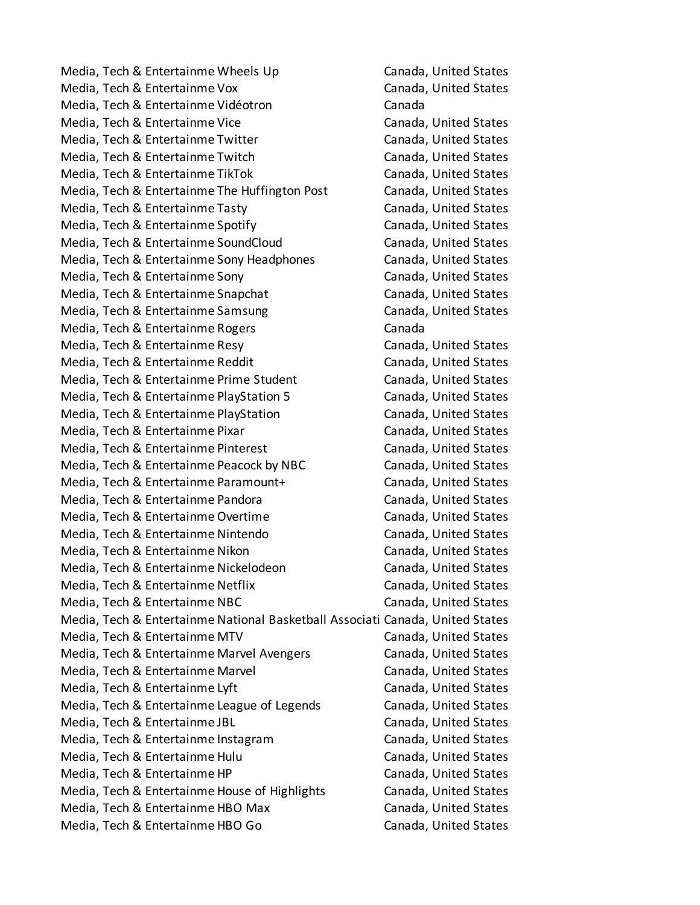Media, Tech & Entertainme Wheels Up Canada, United States Media, Tech & Entertainme Vox Canada, United States Media, Tech & Entertainme Vidéotron Canada Media, Tech & Entertainme Vice Canada, United States Media, Tech & Entertainme Twitter Canada, United States Media, Tech & Entertainme Twitch Canada, United States Media, Tech & Entertainme TikTok Canada, United States Media, Tech & Entertainme The Huffington Post Canada, United States Media, Tech & Entertainme Tasty Canada, United States Media, Tech & Entertainme Spotify Canada, United States Media, Tech & Entertainme SoundCloud Canada, United States Media, Tech & Entertainme Sony Headphones Canada, United States Media, Tech & Entertainme Sony Canada, United States Media, Tech & Entertainme Snapchat Canada, United States Media, Tech & Entertainme Samsung Canada, United States Media, Tech & Entertainme Rogers Canada Media, Tech & Entertainme Resy Canada, United States Media, Tech & Entertainme Reddit Canada, United States Media, Tech & Entertainme Prime Student Canada, United States Media, Tech & Entertainme PlayStation 5 Canada, United States Media, Tech & Entertainme PlayStation Canada, United States Media, Tech & Entertainme Pixar Canada, United States Media, Tech & Entertainme Pinterest Canada, United States Media, Tech & Entertainme Peacock by NBC Canada, United States Media, Tech & Entertainme Paramount+ Canada, United States Media, Tech & Entertainme Pandora Canada, United States Media, Tech & Entertainme Overtime Canada, United States Media, Tech & Entertainme Nintendo Canada, United States Media, Tech & Entertainme Nikon Canada, United States Media, Tech & Entertainme Nickelodeon Canada, United States Media, Tech & Entertainme Netflix Canada, United States Media, Tech & Entertainme NBC Canada, United States Media, Tech & Entertainme National Basketball Associati Canada, United States Media, Tech & Entertainme MTV Canada, United States Media, Tech & Entertainme Marvel Avengers Canada, United States Media, Tech & Entertainme Marvel **Canada**, United States Media, Tech & Entertainme Lyft Canada, United States Media, Tech & Entertainme League of Legends Canada, United States Media, Tech & Entertainme JBL Canada, United States Media, Tech & Entertainme Instagram Canada, United States Media, Tech & Entertainme Hulu Canada, United States Media, Tech & Entertainme HP Canada, United States Media, Tech & Entertainme House of Highlights Canada, United States Media, Tech & Entertainme HBO Max Canada, United States Media, Tech & Entertainme HBO Go Canada, United States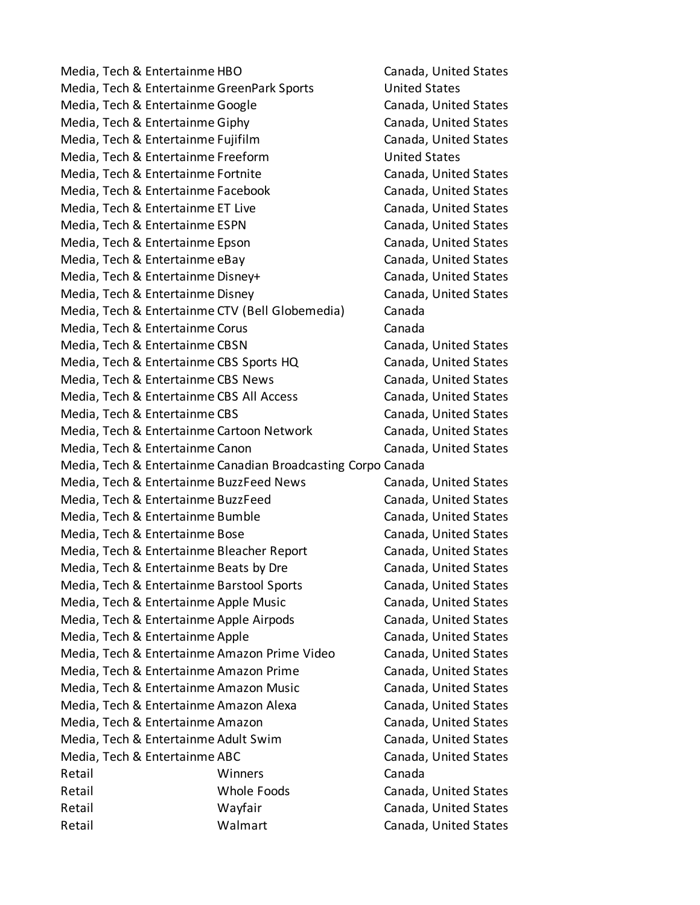Media, Tech & Entertainme HBO Canada, United States Media, Tech & Entertainme GreenPark Sports United States Media, Tech & Entertainme Google Canada, United States Media, Tech & Entertainme Giphy Canada, United States Media, Tech & Entertainme Fujifilm Canada, United States Media, Tech & Entertainme Freeform and United States Media, Tech & Entertainme Fortnite Canada, United States Media, Tech & Entertainme Facebook Canada, United States Media, Tech & Entertainme ET Live Canada, United States Media, Tech & Entertainme ESPN Canada, United States Media, Tech & Entertainme Epson Canada, United States Media, Tech & Entertainme eBay Canada, United States Media, Tech & Entertainme Disney+ Canada, United States Media, Tech & Entertainme Disney Canada, United States Media, Tech & Entertainme CTV (Bell Globemedia) Canada Media, Tech & Entertainme Corus Canada Media, Tech & Entertainme CBSN Canada, United States Media, Tech & Entertainme CBS Sports HQ Canada, United States Media, Tech & Entertainme CBS News Canada, United States Media, Tech & Entertainme CBS All Access Canada, United States Media, Tech & Entertainme CBS Canada, United States Media, Tech & Entertainme Cartoon Network Canada, United States Media, Tech & Entertainme Canon Canon Canada, United States Media, Tech & Entertainme Canadian Broadcasting Corpo Canada Media, Tech & Entertainme BuzzFeed News Canada, United States Media, Tech & Entertainme BuzzFeed Canada, United States Media, Tech & Entertainme Bumble Canada, United States Media, Tech & Entertainme Bose Canada, United States Media, Tech & Entertainme Bleacher Report Canada, United States Media, Tech & Entertainme Beats by Dre Canada, United States Media, Tech & Entertainme Barstool Sports Canada, United States Media, Tech & Entertainme Apple Music Canada, United States Media, Tech & Entertainme Apple Airpods Canada, United States Media, Tech & Entertainme Apple Canada, United States Media, Tech & Entertainme Amazon Prime Video Canada, United States Media, Tech & Entertainme Amazon Prime Canada, United States Media, Tech & Entertainme Amazon Music Canada, United States Media, Tech & Entertainme Amazon Alexa Canada, United States Media, Tech & Entertainme Amazon Canada, United States Media, Tech & Entertainme Adult Swim Canada, United States Media, Tech & Entertainme ABC Canada, United States Retail **Winners** Canada Retail Whole Foods Canada, United States Retail **Example 20 Wayfair** Canada, United States Retail Walmart Canada, United States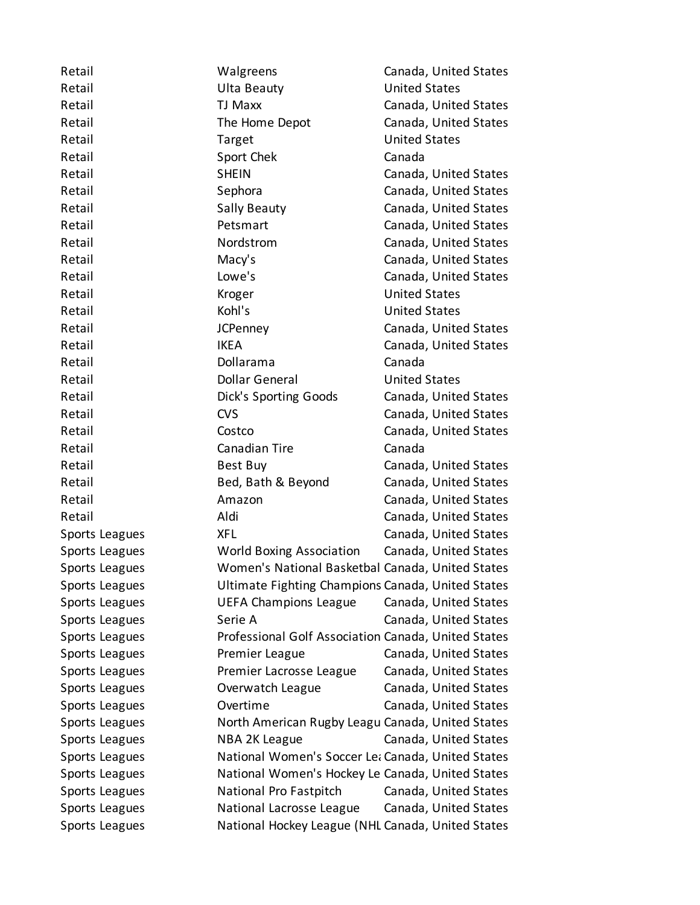| Retail         | Walgreens                                           | Canada, United States |
|----------------|-----------------------------------------------------|-----------------------|
| Retail         | <b>Ulta Beauty</b>                                  | <b>United States</b>  |
| Retail         | <b>TJ Maxx</b>                                      | Canada, United States |
| Retail         | The Home Depot                                      | Canada, United States |
| Retail         | Target                                              | <b>United States</b>  |
| Retail         | Sport Chek                                          | Canada                |
| Retail         | <b>SHEIN</b>                                        | Canada, United States |
| Retail         | Sephora                                             | Canada, United States |
| Retail         | <b>Sally Beauty</b>                                 | Canada, United States |
| Retail         | Petsmart                                            | Canada, United States |
| Retail         | Nordstrom                                           | Canada, United States |
| Retail         | Macy's                                              | Canada, United States |
| Retail         | Lowe's                                              | Canada, United States |
| Retail         | Kroger                                              | <b>United States</b>  |
| Retail         | Kohl's                                              | <b>United States</b>  |
| Retail         | <b>JCPenney</b>                                     | Canada, United States |
| Retail         | <b>IKEA</b>                                         | Canada, United States |
| Retail         | Dollarama                                           | Canada                |
| Retail         | <b>Dollar General</b>                               | <b>United States</b>  |
| Retail         | Dick's Sporting Goods                               | Canada, United States |
| Retail         | <b>CVS</b>                                          | Canada, United States |
| Retail         | Costco                                              | Canada, United States |
| Retail         | Canadian Tire                                       | Canada                |
| Retail         | Best Buy                                            | Canada, United States |
| Retail         | Bed, Bath & Beyond                                  | Canada, United States |
| Retail         | Amazon                                              | Canada, United States |
| Retail         | Aldi                                                | Canada, United States |
| Sports Leagues | <b>XFL</b>                                          | Canada, United States |
| Sports Leagues | <b>World Boxing Association</b>                     | Canada, United States |
| Sports Leagues | Women's National Basketbal Canada, United States    |                       |
| Sports Leagues | Ultimate Fighting Champions Canada, United States   |                       |
| Sports Leagues | <b>UEFA Champions League</b>                        | Canada, United States |
| Sports Leagues | Serie A                                             | Canada, United States |
| Sports Leagues | Professional Golf Association Canada, United States |                       |
| Sports Leagues | Premier League                                      | Canada, United States |
| Sports Leagues | Premier Lacrosse League                             | Canada, United States |
| Sports Leagues | Overwatch League                                    | Canada, United States |
| Sports Leagues | Overtime                                            | Canada, United States |
| Sports Leagues | North American Rugby Leagu Canada, United States    |                       |
| Sports Leagues | NBA 2K League                                       | Canada, United States |
| Sports Leagues | National Women's Soccer Let Canada, United States   |                       |
| Sports Leagues | National Women's Hockey Le Canada, United States    |                       |
| Sports Leagues | National Pro Fastpitch                              | Canada, United States |
| Sports Leagues | National Lacrosse League                            | Canada, United States |
| Sports Leagues | National Hockey League (NHL Canada, United States   |                       |